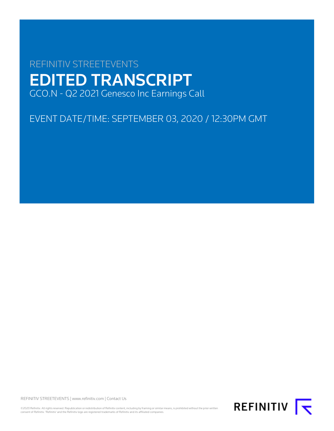# REFINITIV STREETEVENTS EDITED TRANSCRIPT GCO.N - Q2 2021 Genesco Inc Earnings Call

EVENT DATE/TIME: SEPTEMBER 03, 2020 / 12:30PM GMT

REFINITIV STREETEVENTS | [www.refinitiv.com](https://www.refinitiv.com/) | [Contact Us](https://www.refinitiv.com/en/contact-us)

©2020 Refinitiv. All rights reserved. Republication or redistribution of Refinitiv content, including by framing or similar means, is prohibited without the prior written consent of Refinitiv. 'Refinitiv' and the Refinitiv logo are registered trademarks of Refinitiv and its affiliated companies.

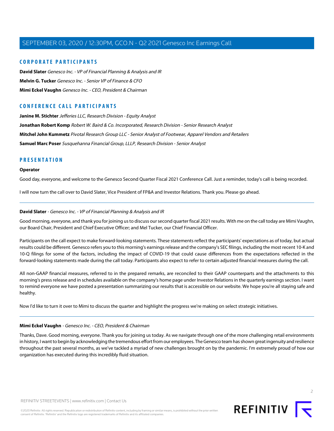#### **CORPORATE PARTICIPANTS**

**[David Slater](#page-1-0)** Genesco Inc. - VP of Financial Planning & Analysis and IR **[Melvin G. Tucker](#page-5-0)** Genesco Inc. - Senior VP of Finance & CFO **[Mimi Eckel Vaughn](#page-1-1)** Genesco Inc. - CEO, President & Chairman

#### **CONFERENCE CALL PARTICIPANTS**

**[Janine M. Stichter](#page-6-0)** Jefferies LLC, Research Division - Equity Analyst **[Jonathan Robert Komp](#page-8-0)** Robert W. Baird & Co. Incorporated, Research Division - Senior Research Analyst **[Mitchel John Kummetz](#page-9-0)** Pivotal Research Group LLC - Senior Analyst of Footwear, Apparel Vendors and Retailers **[Samuel Marc Poser](#page-11-0)** Susquehanna Financial Group, LLLP, Research Division - Senior Analyst

#### **PRESENTATION**

#### **Operator**

Good day, everyone, and welcome to the Genesco Second Quarter Fiscal 2021 Conference Call. Just a reminder, today's call is being recorded.

<span id="page-1-0"></span>I will now turn the call over to David Slater, Vice President of FP&A and Investor Relations. Thank you. Please go ahead.

#### **David Slater** - Genesco Inc. - VP of Financial Planning & Analysis and IR

Good morning, everyone, and thank you for joining us to discuss our second quarter fiscal 2021 results. With me on the call today are Mimi Vaughn, our Board Chair, President and Chief Executive Officer; and Mel Tucker, our Chief Financial Officer.

Participants on the call expect to make forward-looking statements. These statements reflect the participants' expectations as of today, but actual results could be different. Genesco refers you to this morning's earnings release and the company's SEC filings, including the most recent 10-K and 10-Q filings for some of the factors, including the impact of COVID-19 that could cause differences from the expectations reflected in the forward-looking statements made during the call today. Participants also expect to refer to certain adjusted financial measures during the call.

All non-GAAP financial measures, referred to in the prepared remarks, are reconciled to their GAAP counterparts and the attachments to this morning's press release and in schedules available on the company's home page under Investor Relations in the quarterly earnings section. I want to remind everyone we have posted a presentation summarizing our results that is accessible on our website. We hope you're all staying safe and healthy.

<span id="page-1-1"></span>Now I'd like to turn it over to Mimi to discuss the quarter and highlight the progress we're making on select strategic initiatives.

#### **Mimi Eckel Vaughn** - Genesco Inc. - CEO, President & Chairman

Thanks, Dave. Good morning, everyone. Thank you for joining us today. As we navigate through one of the more challenging retail environments in history, I want to begin by acknowledging the tremendous effort from our employees. The Genesco team has shown great ingenuity and resilience throughout the past several months, as we've tackled a myriad of new challenges brought on by the pandemic. I'm extremely proud of how our organization has executed during this incredibly fluid situation.

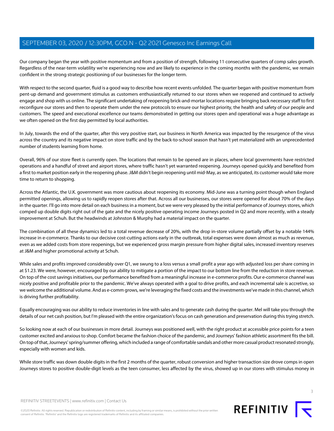Our company began the year with positive momentum and from a position of strength, following 11 consecutive quarters of comp sales growth. Regardless of the near-term volatility we're experiencing now and are likely to experience in the coming months with the pandemic, we remain confident in the strong strategic positioning of our businesses for the longer term.

With respect to the second quarter, fluid is a good way to describe how recent events unfolded. The quarter began with positive momentum from pent-up demand and government stimulus as customers enthusiastically returned to our stores when we reopened and continued to actively engage and shop with us online. The significant undertaking of reopening brick-and-mortar locations require bringing back necessary staff to first reconfigure our stores and then to operate them under the new protocols to ensure our highest priority, the health and safety of our people and customers. The speed and executional excellence our teams demonstrated in getting our stores open and operational was a huge advantage as we often opened on the first day permitted by local authorities.

In July, towards the end of the quarter, after this very positive start, our business in North America was impacted by the resurgence of the virus across the country and its negative impact on store traffic and by the back-to-school season that hasn't yet materialized with an unprecedented number of students learning from home.

Overall, 96% of our store fleet is currently open. The locations that remain to be opened are in places, where local governments have restricted operations and a handful of street and airport stores, where traffic hasn't yet warranted reopening. Journeys opened quickly and benefited from a first to market position early in the reopening phase. J&M didn't begin reopening until mid-May, as we anticipated, its customer would take more time to return to shopping.

Across the Atlantic, the U.K. government was more cautious about reopening its economy. Mid-June was a turning point though when England permitted openings, allowing us to rapidly reopen stores after that. Across all our businesses, our stores were opened for about 70% of the days in the quarter. I'll go into more detail on each business in a moment, but we were very pleased by the initial performance of Journeys stores, which comped up double digits right out of the gate and the nicely positive operating income Journeys posted in Q2 and more recently, with a steady improvement at Schuh. But the headwinds at Johnston & Murphy had a material impact on the quarter.

The combination of all these dynamics led to a total revenue decrease of 20%, with the drop in-store volume partially offset by a notable 144% increase in e-commerce. Thanks to our decisive cost-cutting actions early in the outbreak, total expenses were down almost as much as revenue, even as we added costs from store reopenings, but we experienced gross margin pressure from higher digital sales, increased inventory reserves at J&M and higher promotional activity at Schuh.

While sales and profits improved considerably over Q1, we swung to a loss versus a small profit a year ago with adjusted loss per share coming in at \$1.23. We were, however, encouraged by our ability to mitigate a portion of the impact to our bottom line from the reduction in store revenue. On top of the cost savings initiatives, our performance benefited from a meaningful increase in e-commerce profits. Our e-commerce channel was nicely positive and profitable prior to the pandemic. We've always operated with a goal to drive profits, and each incremental sale is accretive, so we welcome the additional volume. And as e-comm grows, we're leveraging the fixed costs and the investments we've made in this channel, which is driving further profitability.

Equally encouraging was our ability to reduce inventories in line with sales and to generate cash during the quarter. Mel will take you through the details of our net cash position, but I'm pleased with the entire organization's focus on cash generation and preservation during this trying stretch.

So looking now at each of our businesses in more detail. Journeys was positioned well, with the right product at accessible price points for a teen customer excited and anxious to shop. Comfort became the fashion choice of the pandemic, and Journeys' fashion athletic assortment fits the bill. On top of that, Journeys' spring/summer offering, which included a range of comfortable sandals and other more casual product resonated strongly, especially with women and kids.

While store traffic was down double digits in the first 2 months of the quarter, robust conversion and higher transaction size drove comps in open Journeys stores to positive double-digit levels as the teen consumer, less affected by the virus, showed up in our stores with stimulus money in

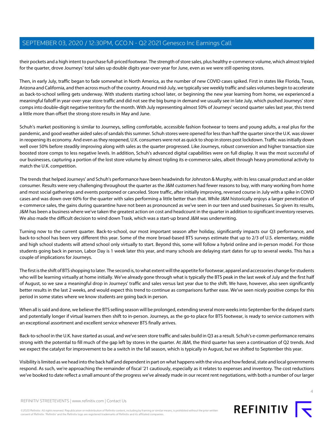their pockets and a high intent to purchase full-priced footwear. The strength of store sales, plus healthy e-commerce volume, which almost tripled for the quarter, drove Journeys' total sales up double digits year-over-year for June, even as we were still opening stores.

Then, in early July, traffic began to fade somewhat in North America, as the number of new COVID cases spiked. First in states like Florida, Texas, Arizona and California, and then across much of the country. Around mid-July, we typically see weekly traffic and sales volumes begin to accelerate as back-to-school selling gets underway. With students starting school later, or beginning the new year learning from home, we experienced a meaningful falloff in year-over-year store traffic and did not see the big bump in demand we usually see in late July, which pushed Journeys' store comps into double-digit negative territory for the month. With July representing almost 50% of Journeys' second quarter sales last year, this trend a little more than offset the strong store results in May and June.

Schuh's market positioning is similar to Journeys, selling comfortable, accessible fashion footwear to teens and young adults, a real plus for the pandemic, and good weather aided sales of sandals this summer. Schuh stores were opened for less than half the quarter since the U.K. was slower in reopening its economy. And even as they reopened, U.K. consumers were not as quick to shop in stores post lockdown. Traffic was initially down well over 50% before steadily improving along with sales as the quarter progressed. Like Journeys, robust conversion and higher transaction size boosted store comps to less negative levels. In addition, Schuh's advanced digital capabilities were on full display. It was the most successful of our businesses, capturing a portion of the lost store volume by almost tripling its e-commerce sales, albeit through heavy promotional activity to match the U.K. competition.

The trends that helped Journeys' and Schuh's performance have been headwinds for Johnston & Murphy, with its less casual product and an older consumer. Results were very challenging throughout the quarter as the J&M customers had fewer reasons to buy, with many working from home and most social gatherings and events postponed or canceled. Store traffic, after initially improving, reversed course in July with a spike in COVID cases and was down over 60% for the quarter with sales performing a little better than that. While J&M historically enjoys a larger penetration of e-commerce sales, the gains during quarantine have not been as pronounced as we've seen in our teen and used businesses. So given its results, J&M has been a business where we've taken the greatest action on cost and headcount in the quarter in addition to significant inventory reserves. We also made the difficult decision to wind down Trask, which was a start-up brand J&M was underwriting.

Turning now to the current quarter. Back-to-school, our most important season after holiday, significantly impacts our Q3 performance, and back-to-school has been very different this year. Some of the more broad-based BTS surveys estimate that up to 2/3 of U.S. elementary, middle and high school students will attend school only virtually to start. Beyond this, some will follow a hybrid online and in-person model. For those students going back in person, Labor Day is 1 week later this year, and many schools are delaying start dates for up to several weeks. This has a couple of implications for Journeys.

The first is the shift of BTS shopping to later. The second is, to what extent will the appetite for footwear, apparel and accessories change for students who will be learning virtually at home initially. We've already gone through what is typically the BTS peak in the last week of July and the first half of August, so we saw a meaningful drop in Journeys' traffic and sales versus last year due to the shift. We have, however, also seen significantly better results in the last 2 weeks, and would expect this trend to continue as comparisons further ease. We've seen nicely positive comps for this period in some states where we know students are going back in person.

When all is said and done, we believe the BTS selling season will be prolonged, extending several more weeks into September for the delayed starts and potentially longer if virtual learners then shift to in-person. Journeys, as the go-to place for BTS footwear, is ready to service customers with an exceptional assortment and excellent service whenever BTS finally arrives.

Back-to-school in the U.K. have started as usual, and we've seen store traffic and sales build in Q3 as a result. Schuh's e-comm performance remains strong with the potential to fill much of the gap left by stores in the quarter. At J&M, the third quarter has seen a continuation of Q2 trends. And we expect the catalyst for improvement to be a switch in the fall season, which is typically in August, but we shifted to September this year.

Visibility is limited as we head into the back half and dependent in part on what happens with the virus and how federal, state and local governments respond. As such, we're approaching the remainder of fiscal '21 cautiously, especially as it relates to expenses and inventory. The cost reductions we've booked to date reflect a small amount of the progress we've already made in our recent rent negotiations, with both a number of our larger



©2020 Refinitiv. All rights reserved. Republication or redistribution of Refinitiv content, including by framing or similar means, is prohibited without the prior written consent of Refinitiv. 'Refinitiv' and the Refinitiv logo are registered trademarks of Refinitiv and its affiliated companies.

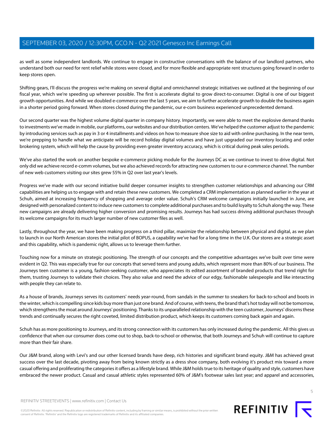as well as some independent landlords. We continue to engage in constructive conversations with the balance of our landlord partners, who understand both our need for rent relief while stores were closed, and for more flexible and appropriate rent structures going forward in order to keep stores open.

Shifting gears, I'll discuss the progress we're making on several digital and omnichannel strategic initiatives we outlined at the beginning of our fiscal year, which we're speeding up wherever possible. The first is accelerate digital to grow direct-to-consumer. Digital is one of our biggest growth opportunities. And while we doubled e-commerce over the last 5 years, we aim to further accelerate growth to double the business again in a shorter period going forward. When stores closed during the pandemic, our e-com business experienced unprecedented demand.

Our second quarter was the highest volume digital quarter in company history. Importantly, we were able to meet the explosive demand thanks to investments we've made in mobile, our platforms, our websites and our distribution centers. We've helped the customer adjust to the pandemic by introducing services such as pay in 3 or 4 installments and videos on how to measure shoe size to aid with online purchasing. In the near term, we're prepping to handle what we anticipate will be record holiday digital volumes and have just upgraded our inventory locating and order brokering system, which will help the cause by providing even greater inventory accuracy, which is critical during peak sales periods.

We've also started the work on another bespoke e-commerce picking module for the Journeys DC as we continue to invest to drive digital. Not only did we achieve record e-comm volumes, but we also achieved records for attracting new customers to our e-commerce channel. The number of new web customers visiting our sites grew 55% in Q2 over last year's levels.

Progress we've made with our second initiative build deeper consumer insights to strengthen customer relationships and advancing our CRM capabilities are helping us to engage with and retain these new customers. We completed a CRM implementation as planned earlier in the year at Schuh, aimed at increasing frequency of shopping and average order value. Schuh's CRM welcome campaigns initially launched in June, are designed with personalized content to induce new customers to complete additional purchases and to build loyalty to Schuh along the way. These new campaigns are already delivering higher conversion and promising results. Journeys has had success driving additional purchases through its welcome campaigns for its much larger number of new customer files as well.

Lastly, throughout the year, we have been making progress on a third pillar, maximize the relationship between physical and digital, as we plan to launch in our North American stores the initial pilot of BOPUS, a capability we've had for a long time in the U.K. Our stores are a strategic asset and this capability, which is pandemic right, allows us to leverage them further.

Touching now for a minute on strategic positioning. The strength of our concepts and the competitive advantages we've built over time were evident in Q2. This was especially true for our concepts that served teens and young adults, which represent more than 80% of our business. The Journeys teen customer is a young, fashion-seeking customer, who appreciates its edited assortment of branded products that trend right for them, trusting Journeys to validate their choices. They also value and need the advice of our edgy, fashionable salespeople and like interacting with people they can relate to.

As a house of brands, Journeys serves its customers' needs year-round, from sandals in the summer to sneakers for back-to-school and boots in the winter, which is compelling since kids buy more than just one brand. And of course, with teens, the brand that's hot today will not be tomorrow, which strengthens the moat around Journeys' positioning. Thanks to its unparalleled relationship with the teen customer, Journeys' discerns these trends and continually secures the right coveted, limited distribution product, which keeps its customers coming back again and again.

Schuh has as more positioning to Journeys, and its strong connection with its customers has only increased during the pandemic. All this gives us confidence that when our consumer does come out to shop, back-to-school or otherwise, that both Journeys and Schuh will continue to capture more than their fair share.

Our J&M brand, along with Levi's and our other licensed brands have deep, rich histories and significant brand equity. J&M has achieved great success over the last decade, pivoting away from being known strictly as a dress shoe company, both evolving it's product mix toward a more casual offering and proliferating the categories it offers as a lifestyle brand. While J&M holds true to its heritage of quality and style, customers have embraced the newer product. Casual and casual athletic styles represented 60% of J&M's footwear sales last year; and apparel and accessories,

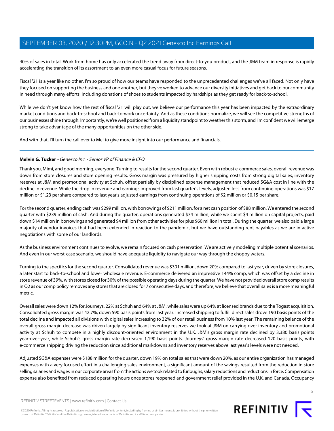40% of sales in total. Work from home has only accelerated the trend away from direct-to-you product, and the J&M team in response is rapidly accelerating the transition of its assortment to an even more casual focus for future seasons.

Fiscal '21 is a year like no other. I'm so proud of how our teams have responded to the unprecedented challenges we've all faced. Not only have they focused on supporting the business and one another, but they've worked to advance our diversity initiatives and get back to our community in need through many efforts, including donations of shoes to students impacted by hardships as they get ready for back-to-school.

While we don't yet know how the rest of fiscal '21 will play out, we believe our performance this year has been impacted by the extraordinary market conditions and back-to-school and back-to-work uncertainty. And as these conditions normalize, we will see the competitive strengths of our businesses shine through. Importantly, we're well positioned from a liquidity standpoint to weather this storm, and I'm confident we will emerge strong to take advantage of the many opportunities on the other side.

<span id="page-5-0"></span>And with that, I'll turn the call over to Mel to give more insight into our performance and financials.

#### **Melvin G. Tucker** - Genesco Inc. - Senior VP of Finance & CFO

Thank you, Mimi, and good morning, everyone. Turning to results for the second quarter. Even with robust e-commerce sales, overall revenue was down from store closures and store opening results. Gross margin was pressured by higher shipping costs from strong digital sales, inventory reserves at J&M and promotional activity at Schuh, offset partially by disciplined expense management that reduced SG&A cost in line with the decline in revenue. While the drop in revenue and earnings improved from last quarter's levels, adjusted loss from continuing operations was \$17 million or \$1.23 per share compared to last year's adjusted earnings from continuing operations of \$2 million or \$0.15 per share.

For the second quarter, ending cash was \$299 million, with borrowings of \$211 million, for a net cash position of \$88 million. We entered the second quarter with \$239 million of cash. And during the quarter, operations generated \$74 million, while we spent \$4 million on capital projects, paid down \$14 million in borrowings and generated \$4 million from other activities for plus \$60 million in total. During the quarter, we also paid a large majority of vendor invoices that had been extended in reaction to the pandemic, but we have outstanding rent payables as we are in active negotiations with some of our landlords.

As the business environment continues to evolve, we remain focused on cash preservation. We are actively modeling multiple potential scenarios. And even in our worst-case scenario, we should have adequate liquidity to navigate our way through the choppy waters.

Turning to the specifics for the second quarter. Consolidated revenue was \$391 million, down 20% compared to last year, driven by store closures, a later start to back-to-school and lower wholesale revenue. E-commerce delivered an impressive 144% comp, which was offset by a decline in store revenue of 39%, with stores closed for 30% of the possible operating days during the quarter. We have not provided overall store comp results in Q2 as our comp policy removes any stores that are closed for 7 consecutive days, and therefore, we believe that overall sales is a more meaningful metric.

Overall sales were down 12% for Journeys, 22% at Schuh and 64% at J&M, while sales were up 64% at licensed brands due to the Togast acquisition. Consolidated gross margin was 42.7%, down 590 basis points from last year. Increased shipping to fulfill direct sales drove 190 basis points of the total decline and impacted all divisions with digital sales increasing to 32% of our retail business from 10% last year. The remaining balance of the overall gross margin decrease was driven largely by significant inventory reserves we took at J&M on carrying over inventory and promotional activity at Schuh to compete in a highly discount-oriented environment in the U.K. J&M's gross margin rate declined by 3,380 basis points year-over-year, while Schuh's gross margin rate decreased 1,190 basis points. Journeys' gross margin rate decreased 120 basis points, with e-commerce shipping driving the reduction since additional markdowns and inventory reserves above last year's levels were not needed.

Adjusted SG&A expenses were \$188 million for the quarter, down 19% on total sales that were down 20%, as our entire organization has managed expenses with a very focused effort in a challenging sales environment, a significant amount of the savings resulted from the reduction in store selling salaries and wages in our corporate areas from the actions we took related to furloughs, salary reductions and reductions in force. Compensation expense also benefited from reduced operating hours once stores reopened and government relief provided in the U.K. and Canada. Occupancy

©2020 Refinitiv. All rights reserved. Republication or redistribution of Refinitiv content, including by framing or similar means, is prohibited without the prior written consent of Refinitiv. 'Refinitiv' and the Refinitiv logo are registered trademarks of Refinitiv and its affiliated companies.

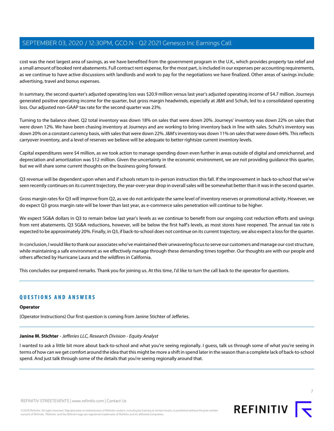cost was the next largest area of savings, as we have benefited from the government program in the U.K., which provides property tax relief and a small amount of booked rent abatements. Full contract rent expense, for the most part, is included in our expenses per accounting requirements, as we continue to have active discussions with landlords and work to pay for the negotiations we have finalized. Other areas of savings include: advertising, travel and bonus expenses.

In summary, the second quarter's adjusted operating loss was \$20.9 million versus last year's adjusted operating income of \$4.7 million. Journeys generated positive operating income for the quarter, but gross margin headwinds, especially at J&M and Schuh, led to a consolidated operating loss. Our adjusted non-GAAP tax rate for the second quarter was 23%.

Turning to the balance sheet. Q2 total inventory was down 18% on sales that were down 20%. Journeys' inventory was down 22% on sales that were down 12%. We have been chasing inventory at Journeys and are working to bring inventory back in line with sales. Schuh's inventory was down 20% on a constant currency basis, with sales that were down 22%. J&M's inventory was down 11% on sales that were down 64%. This reflects carryover inventory, and a level of reserves we believe will be adequate to better rightsize current inventory levels.

Capital expenditures were \$4 million, as we took action to manage spending down even further in areas outside of digital and omnichannel, and depreciation and amortization was \$12 million. Given the uncertainty in the economic environment, we are not providing guidance this quarter, but we will share some current thoughts on the business going forward.

Q3 revenue will be dependent upon when and if schools return to in-person instruction this fall. If the improvement in back-to-school that we've seen recently continues on its current trajectory, the year-over-year drop in overall sales will be somewhat better than it was in the second quarter.

Gross margin rates for Q3 will improve from Q2, as we do not anticipate the same level of inventory reserves or promotional activity. However, we do expect Q3 gross margin rate will be lower than last year, as e-commerce sales penetration will continue to be higher.

We expect SG&A dollars in Q3 to remain below last year's levels as we continue to benefit from our ongoing cost reduction efforts and savings from rent abatements. Q3 SG&A reductions, however, will be below the first half's levels, as most stores have reopened. The annual tax rate is expected to be approximately 20%. Finally, in Q3, if back-to-school does not continue on its current trajectory, we also expect a loss for the quarter.

In conclusion, I would like to thank our associates who've maintained their unwavering focus to serve our customers and manage our cost structure, while maintaining a safe environment as we effectively manage through these demanding times together. Our thoughts are with our people and others affected by Hurricane Laura and the wildfires in California.

This concludes our prepared remarks. Thank you for joining us. At this time, I'd like to turn the call back to the operator for questions.

#### **QUESTIONS AND ANSWERS**

#### <span id="page-6-0"></span>**Operator**

(Operator Instructions) Our first question is coming from Janine Stichter of Jefferies.

#### **Janine M. Stichter** - Jefferies LLC, Research Division - Equity Analyst

I wanted to ask a little bit more about back-to-school and what you're seeing regionally. I guess, talk us through some of what you're seeing in terms of how can we get comfort around the idea that this might be more a shift in spend later in the season than a complete lack of back-to-school spend. And just talk through some of the details that you're seeing regionally around that.



REFINITIV **I**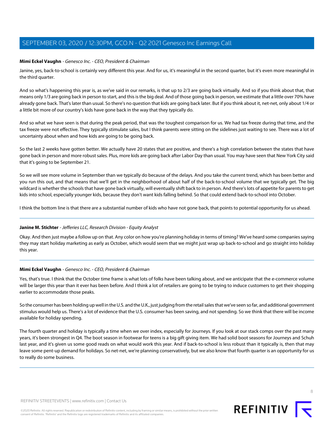#### **Mimi Eckel Vaughn** - Genesco Inc. - CEO, President & Chairman

Janine, yes, back-to-school is certainly very different this year. And for us, it's meaningful in the second quarter, but it's even more meaningful in the third quarter.

And so what's happening this year is, as we've said in our remarks, is that up to 2/3 are going back virtually. And so if you think about that, that means only 1/3 are going back in person to start, and this is the big deal. And of those going back in person, we estimate that a little over 70% have already gone back. That's later than usual. So there's no question that kids are going back later. But if you think about it, net-net, only about 1/4 or a little bit more of our country's kids have gone back in the way that they typically do.

And so what we have seen is that during the peak period, that was the toughest comparison for us. We had tax freeze during that time, and the tax freeze were not effective. They typically stimulate sales, but I think parents were sitting on the sidelines just waiting to see. There was a lot of uncertainty about when and how kids are going to be going back.

So the last 2 weeks have gotten better. We actually have 20 states that are positive, and there's a high correlation between the states that have gone back in person and more robust sales. Plus, more kids are going back after Labor Day than usual. You may have seen that New York City said that it's going to be September 21.

So we will see more volume in September than we typically do because of the delays. And you take the current trend, which has been better and you run this out, and that means that we'll get in the neighborhood of about half of the back-to-school volume that we typically get. The big wildcard is whether the schools that have gone back virtually, will eventually shift back to in person. And there's lots of appetite for parents to get kids into school, especially younger kids, because they don't want kids falling behind. So that could extend back-to-school into October.

I think the bottom line is that there are a substantial number of kids who have not gone back, that points to potential opportunity for us ahead.

#### **Janine M. Stichter** - Jefferies LLC, Research Division - Equity Analyst

Okay. And then just maybe a follow up on that. Any color on how you're planning holiday in terms of timing? We've heard some companies saying they may start holiday marketing as early as October, which would seem that we might just wrap up back-to-school and go straight into holiday this year.

#### **Mimi Eckel Vaughn** - Genesco Inc. - CEO, President & Chairman

Yes, that's true. I think that the October time frame is what lots of folks have been talking about, and we anticipate that the e-commerce volume will be larger this year than it ever has been before. And I think a lot of retailers are going to be trying to induce customers to get their shopping earlier to accommodate those peaks.

So the consumer has been holding up well in the U.S. and the U.K., just judging from the retail sales that we've seen so far, and additional government stimulus would help us. There's a lot of evidence that the U.S. consumer has been saving, and not spending. So we think that there will be income available for holiday spending.

The fourth quarter and holiday is typically a time when we over index, especially for Journeys. If you look at our stack comps over the past many years, it's been strongest in Q4. The boot season in footwear for teens is a big gift giving item. We had solid boot seasons for Journeys and Schuh last year, and it's given us some good reads on what would work this year. And if back-to-school is less robust than it typically is, then that may leave some pent-up demand for holidays. So net-net, we're planning conservatively, but we also know that fourth quarter is an opportunity for us to really do some business.

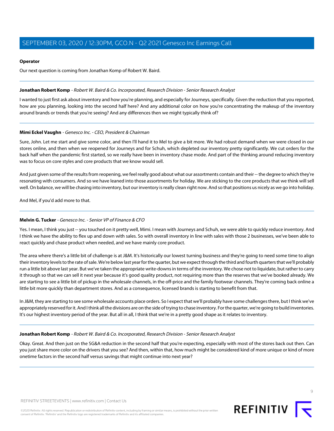#### **Operator**

Our next question is coming from Jonathan Komp of Robert W. Baird.

#### <span id="page-8-0"></span>**Jonathan Robert Komp** - Robert W. Baird & Co. Incorporated, Research Division - Senior Research Analyst

I wanted to just first ask about inventory and how you're planning, and especially for Journeys, specifically. Given the reduction that you reported, how are you planning, looking into the second half here? And any additional color on how you're concentrating the makeup of the inventory around brands or trends that you're seeing? And any differences then we might typically think of?

#### **Mimi Eckel Vaughn** - Genesco Inc. - CEO, President & Chairman

Sure, John. Let me start and give some color, and then I'll hand it to Mel to give a bit more. We had robust demand when we were closed in our stores online, and then when we reopened for Journeys and for Schuh, which depleted our inventory pretty significantly. We cut orders for the back half when the pandemic first started, so we really have been in inventory chase mode. And part of the thinking around reducing inventory was to focus on core styles and core products that we know would sell.

And just given some of the results from reopening, we feel really good about what our assortments contain and their -- the degree to which they're resonating with consumers. And so we have leaned into those assortments for holiday. We are sticking to the core products that we think will sell well. On balance, we will be chasing into inventory, but our inventory is really clean right now. And so that positions us nicely as we go into holiday.

And Mel, if you'd add more to that.

#### **Melvin G. Tucker** - Genesco Inc. - Senior VP of Finance & CFO

Yes. I mean, I think you just -- you touched on it pretty well, Mimi. I mean with Journeys and Schuh, we were able to quickly reduce inventory. And I think we have the ability to flex up and down with sales. So with overall inventory in line with sales with those 2 businesses, we've been able to react quickly and chase product when needed, and we have mainly core product.

The area where there's a little bit of challenge is at J&M. It's historically our lowest turning business and they're going to need some time to align their inventory levels to the rate of sale. We're below last year for the quarter, but we expect through the third and fourth quarters that we'll probably run a little bit above last year. But we've taken the appropriate write-downs in terms of the inventory. We chose not to liquidate, but rather to carry it through so that we can sell it next year because it's good quality product, not requiring more than the reserves that we've booked already. We are starting to see a little bit of pickup in the wholesale channels, in the off-price and the family footwear channels. They're coming back online a little bit more quickly than department stores. And as a consequence, licensed brands is starting to benefit from that.

In J&M, they are starting to see some wholesale accounts place orders. So I expect that we'll probably have some challenges there, but I think we've appropriately reserved for it. And I think all the divisions are on the side of trying to chase inventory. For the quarter, we're going to build inventories. It's our highest inventory period of the year. But all in all, I think that we're in a pretty good shape as it relates to inventory.

#### **Jonathan Robert Komp** - Robert W. Baird & Co. Incorporated, Research Division - Senior Research Analyst

Okay. Great. And then just on the SG&A reduction in the second half that you're expecting, especially with most of the stores back out then. Can you just share more color on the drivers that you see? And then, within that, how much might be considered kind of more unique or kind of more onetime factors in the second half versus savings that might continue into next year?

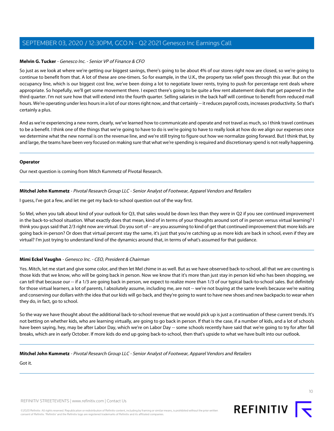#### **Melvin G. Tucker** - Genesco Inc. - Senior VP of Finance & CFO

So just as we look at where we're getting our biggest savings, there's going to be about 4% of our stores right now are closed, so we're going to continue to benefit from that. A lot of these are one-timers. So for example, in the U.K., the property tax relief goes through this year. But on the occupancy line, which is our biggest cost line, we've been doing a lot to negotiate lower rents, trying to push for percentage rent deals where appropriate. So hopefully, we'll get some movement there. I expect there's going to be quite a few rent abatement deals that get papered in the third quarter. I'm not sure how that will extend into the fourth quarter. Selling salaries in the back half will continue to benefit from reduced mall hours. We're operating under less hours in a lot of our stores right now, and that certainly -- it reduces payroll costs, increases productivity. So that's certainly a plus.

And as we're experiencing a new norm, clearly, we've learned how to communicate and operate and not travel as much, so I think travel continues to be a benefit. I think one of the things that we're going to have to do is we're going to have to really look at how do we align our expenses once we determine what the new normal is on the revenue line, and we're still trying to figure out how we normalize going forward. But I think that, by and large, the teams have been very focused on making sure that what we're spending is required and discretionary spend is not really happening.

#### **Operator**

<span id="page-9-0"></span>Our next question is coming from Mitch Kummetz of Pivotal Research.

#### **Mitchel John Kummetz** - Pivotal Research Group LLC - Senior Analyst of Footwear, Apparel Vendors and Retailers

I guess, I've got a few, and let me get my back-to-school question out of the way first.

So Mel, when you talk about kind of your outlook for Q3, that sales would be down less than they were in Q2 if you see continued improvement in the back-to-school situation. What exactly does that mean, kind of in terms of your thoughts around sort of in person versus virtual learning? I think you guys said that 2/3 right now are virtual. Do you sort of -- are you assuming to kind of get that continued improvement that more kids are going back in-person? Or does that virtual percent stay the same, it's just that you're catching up as more kids are back in school, even if they are virtual? I'm just trying to understand kind of the dynamics around that, in terms of what's assumed for that guidance.

#### **Mimi Eckel Vaughn** - Genesco Inc. - CEO, President & Chairman

Yes. Mitch, let me start and give some color, and then let Mel chime in as well. But as we have observed back-to-school, all that we are counting is those kids that we know, who will be going back in person. Now we know that it's more than just stay in person kid who has been shopping, we can tell that because our -- if a 1/3 are going back in person, we expect to realize more than 1/3 of our typical back-to-school sales. But definitely for those virtual learners, a lot of parents, I absolutely assume, including me, are not -- we're not buying at the same levels because we're waiting and conserving our dollars with the idea that our kids will go back, and they're going to want to have new shoes and new backpacks to wear when they do, in fact, go to school.

So the way we have thought about the additional back-to-school revenue that we would pick up is just a continuation of these current trends. It's not betting on whether kids, who are learning virtually, are going to go back in person. If that is the case, if a number of kids, and a lot of schools have been saying, hey, may be after Labor Day, which we're on Labor Day -- some schools recently have said that we're going to try for after fall breaks, which are in early October. If more kids do end up going back-to-school, then that's upside to what we have built into our outlook.

**Mitchel John Kummetz** - Pivotal Research Group LLC - Senior Analyst of Footwear, Apparel Vendors and Retailers

Got it.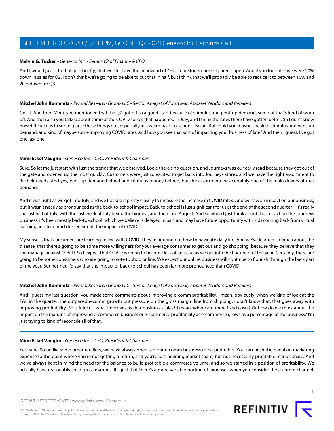#### **Melvin G. Tucker** - Genesco Inc. - Senior VP of Finance & CFO

And I would just -- to that, just briefly, that we still have the headwind of 4% of our stores currently aren't open. And if you look at -- we were 20% down in sales for Q2. I don't think we're going to be able to cut that in half, but I think that we'll probably be able to reduce it to between 10% and 20% down for Q3.

#### **Mitchel John Kummetz** - Pivotal Research Group LLC - Senior Analyst of Footwear, Apparel Vendors and Retailers

Got it. And then Mimi, you mentioned that the Q2 got off to a good start because of stimulus and pent-up demand, some of that's kind of worn off. And then also you talked about some of the COVID spikes that happened in July, and I think the rates there have gotten better. So I don't know how difficult it is to sort of parse these things out, especially in a weird back-to-school season. But could you maybe speak to stimulus and pent-up demand, and kind of maybe some improving COVID rates, and how you see that sort of impacting your business of late? And then I guess, I've got one last one.

#### **Mimi Eckel Vaughn** - Genesco Inc. - CEO, President & Chairman

Sure. So let me just start with just the trends that we observed. Look, there's no question, and Journeys was our early read because they got out of the gate and opened up the most quickly. Customers were just so excited to get back into Journeys stores, and we have the right assortment to fit their needs. And yes, pent-up demand helped and stimulus money helped, but the assortment was certainly one of the main drivers of that demand.

And it was right as we got into July, and we tracked it pretty closely to measure the increase in COVID rates. And we saw an impact on our business, but it wasn't nearly as pronounced as the back-to-school impact. Back-to-school is just significant for us at the end of the second quarter -- it's really the last half of July, with the last week of July being the biggest, and then into August. And so when I just think about the impact on the Journeys business, it's been mostly back-to-school, which we believe is delayed in part and may have future opportunity with kids coming back from virtual learning and to a much lesser extent, the impact of COVID.

My sense is that consumers are learning to live with COVID. They're figuring out how to navigate daily life. And we've learned so much about the disease, that there's going to be some more willingness for your average consumer to get out and go shopping, because they believe that they can manage against COVID. So I expect that COVID is going to become less of an issue as we get into the back part of the year. Certainly, there are going to be some consumers who are going to vote to shop online. We expect our online business will continue to flourish through the back part of the year. But net-net, I'd say that the impact of back-to-school has been far more pronounced than COVID.

#### **Mitchel John Kummetz** - Pivotal Research Group LLC - Senior Analyst of Footwear, Apparel Vendors and Retailers

And I guess my last question, you made some comments about improving e-comm profitability. I mean, obviously, when we kind of look at the P&L in the quarter, the outpaced e-comm growth put pressure on the gross margin line from shipping. I don't know that, that goes away with improving profitability. So is it just -- what improves as that business scales? I mean, where are there fixed costs? Or how do we think about the impact on the margins of improving e-commerce business or e-commerce profitability as e-commerce grows as a percentage of the business? I'm just trying to kind of reconcile all of that.

#### **Mimi Eckel Vaughn** - Genesco Inc. - CEO, President & Chairman

Yes, sure. So unlike some other retailers, we have always operated our e-comm business to be profitable. You can push the pedal on marketing expense to the point where you're not getting a return, and you're just building market share, but not necessarily profitable market share. And we've always kept in mind the need for the balance to build profitable e-commerce volume, and so we started in a position of profitability. We actually have reasonably solid gross margins. It's just that there's a more variable portion of expenses when you consider the e-comm channel.

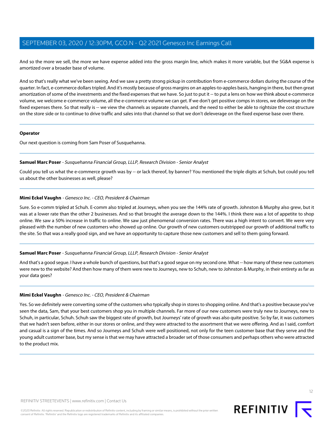And so the more we sell, the more we have expense added into the gross margin line, which makes it more variable, but the SG&A expense is amortized over a broader base of volume.

And so that's really what we've been seeing. And we saw a pretty strong pickup in contribution from e-commerce dollars during the course of the quarter. In fact, e-commerce dollars tripled. And it's mostly because of gross margins on an apples-to-apples basis, hanging in there, but then great amortization of some of the investments and the fixed expenses that we have. So just to put it -- to put a lens on how we think about e-commerce volume, we welcome e-commerce volume, all the e-commerce volume we can get. If we don't get positive comps in stores, we deleverage on the fixed expenses there. So that really is -- we view the channels as separate channels, and the need to either be able to rightsize the cost structure on the store side or to continue to drive traffic and sales into that channel so that we don't deleverage on the fixed expense base over there.

#### **Operator**

<span id="page-11-0"></span>Our next question is coming from Sam Poser of Susquehanna.

#### **Samuel Marc Poser** - Susquehanna Financial Group, LLLP, Research Division - Senior Analyst

Could you tell us what the e-commerce growth was by -- or lack thereof, by banner? You mentioned the triple digits at Schuh, but could you tell us about the other businesses as well, please?

#### **Mimi Eckel Vaughn** - Genesco Inc. - CEO, President & Chairman

Sure. So e-comm tripled at Schuh. E-comm also tripled at Journeys, when you see the 144% rate of growth. Johnston & Murphy also grew, but it was at a lower rate than the other 2 businesses. And so that brought the average down to the 144%. I think there was a lot of appetite to shop online. We saw a 50% increase in traffic to online. We saw just phenomenal conversion rates. There was a high intent to convert. We were very pleased with the number of new customers who showed up online. Our growth of new customers outstripped our growth of additional traffic to the site. So that was a really good sign, and we have an opportunity to capture those new customers and sell to them going forward.

#### **Samuel Marc Poser** - Susquehanna Financial Group, LLLP, Research Division - Senior Analyst

And that's a good segue. I have a whole bunch of questions, but that's a good segue on my second one. What -- how many of these new customers were new to the website? And then how many of them were new to Journeys, new to Schuh, new to Johnston & Murphy, in their entirety as far as your data goes?

#### **Mimi Eckel Vaughn** - Genesco Inc. - CEO, President & Chairman

Yes. So we definitely were converting some of the customers who typically shop in stores to shopping online. And that's a positive because you've seen the data, Sam, that your best customers shop you in multiple channels. Far more of our new customers were truly new to Journeys, new to Schuh, in particular, Schuh. Schuh saw the biggest rate of growth, but Journeys' rate of growth was also quite positive. So by far, it was customers that we hadn't seen before, either in our stores or online, and they were attracted to the assortment that we were offering. And as I said, comfort and casual is a sign of the times. And so Journeys and Schuh were well positioned, not only for the teen customer base that they serve and the young adult customer base, but my sense is that we may have attracted a broader set of those consumers and perhaps others who were attracted to the product mix.